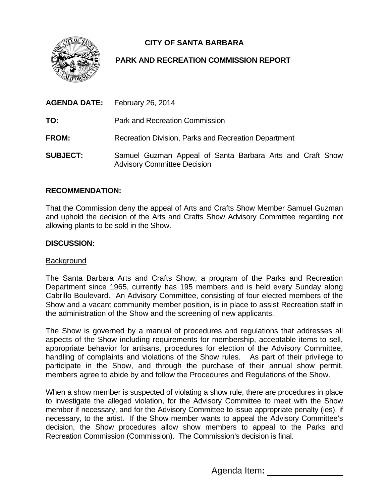# **CITY OF SANTA BARBARA**

## **PARK AND RECREATION COMMISSION REPORT**

| <b>AGENDA DATE:</b> February 26, 2014 |                                                                                                 |
|---------------------------------------|-------------------------------------------------------------------------------------------------|
| TO:                                   | Park and Recreation Commission                                                                  |
| FROM:                                 | Recreation Division, Parks and Recreation Department                                            |
| <b>SUBJECT:</b>                       | Samuel Guzman Appeal of Santa Barbara Arts and Craft Show<br><b>Advisory Committee Decision</b> |

### **RECOMMENDATION:**

That the Commission deny the appeal of Arts and Crafts Show Member Samuel Guzman and uphold the decision of the Arts and Crafts Show Advisory Committee regarding not allowing plants to be sold in the Show.

#### **DISCUSSION:**

#### Background

The Santa Barbara Arts and Crafts Show, a program of the Parks and Recreation Department since 1965, currently has 195 members and is held every Sunday along Cabrillo Boulevard. An Advisory Committee, consisting of four elected members of the Show and a vacant community member position, is in place to assist Recreation staff in the administration of the Show and the screening of new applicants.

The Show is governed by a manual of procedures and regulations that addresses all aspects of the Show including requirements for membership, acceptable items to sell, appropriate behavior for artisans, procedures for election of the Advisory Committee, handling of complaints and violations of the Show rules. As part of their privilege to participate in the Show, and through the purchase of their annual show permit, members agree to abide by and follow the Procedures and Regulations of the Show.

When a show member is suspected of violating a show rule, there are procedures in place to investigate the alleged violation, for the Advisory Committee to meet with the Show member if necessary, and for the Advisory Committee to issue appropriate penalty (ies), if necessary, to the artist. If the Show member wants to appeal the Advisory Committee's decision, the Show procedures allow show members to appeal to the Parks and Recreation Commission (Commission). The Commission's decision is final.

Agenda Item**:**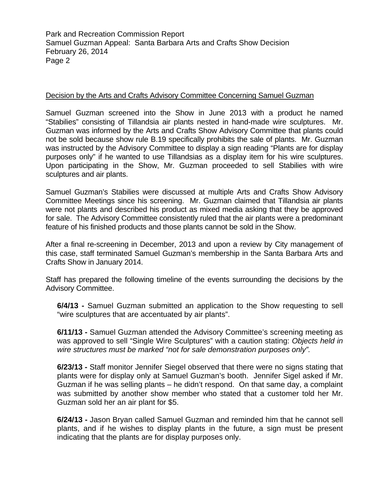## Decision by the Arts and Crafts Advisory Committee Concerning Samuel Guzman

Samuel Guzman screened into the Show in June 2013 with a product he named "Stabilies" consisting of Tillandsia air plants nested in hand-made wire sculptures. Mr. Guzman was informed by the Arts and Crafts Show Advisory Committee that plants could not be sold because show rule B.19 specifically prohibits the sale of plants. Mr. Guzman was instructed by the Advisory Committee to display a sign reading "Plants are for display purposes only" if he wanted to use Tillandsias as a display item for his wire sculptures. Upon participating in the Show, Mr. Guzman proceeded to sell Stabilies with wire sculptures and air plants.

Samuel Guzman's Stabilies were discussed at multiple Arts and Crafts Show Advisory Committee Meetings since his screening. Mr. Guzman claimed that Tillandsia air plants were not plants and described his product as mixed media asking that they be approved for sale. The Advisory Committee consistently ruled that the air plants were a predominant feature of his finished products and those plants cannot be sold in the Show.

After a final re-screening in December, 2013 and upon a review by City management of this case, staff terminated Samuel Guzman's membership in the Santa Barbara Arts and Crafts Show in January 2014.

Staff has prepared the following timeline of the events surrounding the decisions by the Advisory Committee.

**6/4/13 -** Samuel Guzman submitted an application to the Show requesting to sell "wire sculptures that are accentuated by air plants".

**6/11/13 -** Samuel Guzman attended the Advisory Committee's screening meeting as was approved to sell "Single Wire Sculptures" with a caution stating: *Objects held in wire structures must be marked "not for sale demonstration purposes only".* 

**6/23/13 -** Staff monitor Jennifer Siegel observed that there were no signs stating that plants were for display only at Samuel Guzman's booth. Jennifer Sigel asked if Mr. Guzman if he was selling plants – he didn't respond. On that same day, a complaint was submitted by another show member who stated that a customer told her Mr. Guzman sold her an air plant for \$5.

**6/24/13 -** Jason Bryan called Samuel Guzman and reminded him that he cannot sell plants, and if he wishes to display plants in the future, a sign must be present indicating that the plants are for display purposes only.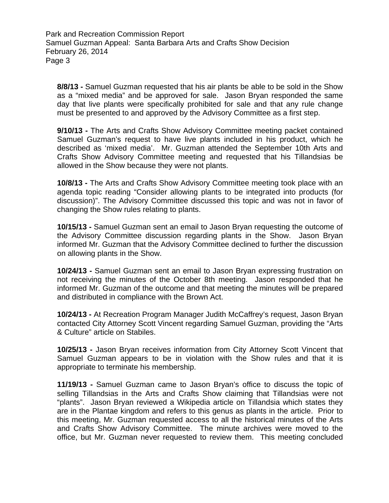**8/8/13 -** Samuel Guzman requested that his air plants be able to be sold in the Show as a "mixed media" and be approved for sale. Jason Bryan responded the same day that live plants were specifically prohibited for sale and that any rule change must be presented to and approved by the Advisory Committee as a first step.

**9/10/13 -** The Arts and Crafts Show Advisory Committee meeting packet contained Samuel Guzman's request to have live plants included in his product, which he described as 'mixed media'. Mr. Guzman attended the September 10th Arts and Crafts Show Advisory Committee meeting and requested that his Tillandsias be allowed in the Show because they were not plants.

**10/8/13 -** The Arts and Crafts Show Advisory Committee meeting took place with an agenda topic reading "Consider allowing plants to be integrated into products (for discussion)". The Advisory Committee discussed this topic and was not in favor of changing the Show rules relating to plants.

**10/15/13 -** Samuel Guzman sent an email to Jason Bryan requesting the outcome of the Advisory Committee discussion regarding plants in the Show. Jason Bryan informed Mr. Guzman that the Advisory Committee declined to further the discussion on allowing plants in the Show.

**10/24/13 -** Samuel Guzman sent an email to Jason Bryan expressing frustration on not receiving the minutes of the October 8th meeting. Jason responded that he informed Mr. Guzman of the outcome and that meeting the minutes will be prepared and distributed in compliance with the Brown Act.

**10/24/13 -** At Recreation Program Manager Judith McCaffrey's request, Jason Bryan contacted City Attorney Scott Vincent regarding Samuel Guzman, providing the "Arts & Culture" article on Stabiles.

**10/25/13 -** Jason Bryan receives information from City Attorney Scott Vincent that Samuel Guzman appears to be in violation with the Show rules and that it is appropriate to terminate his membership.

**11/19/13 -** Samuel Guzman came to Jason Bryan's office to discuss the topic of selling Tillandsias in the Arts and Crafts Show claiming that Tillandsias were not "plants". Jason Bryan reviewed a Wikipedia article on Tillandsia which states they are in the Plantae kingdom and refers to this genus as plants in the article. Prior to this meeting, Mr. Guzman requested access to all the historical minutes of the Arts and Crafts Show Advisory Committee. The minute archives were moved to the office, but Mr. Guzman never requested to review them. This meeting concluded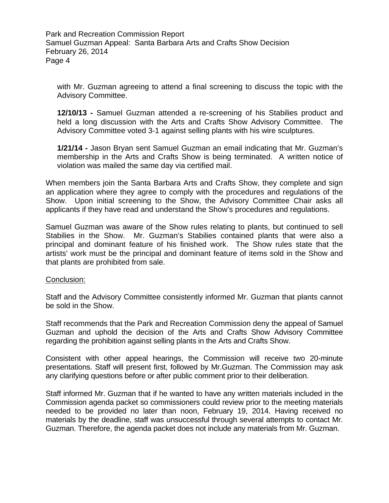with Mr. Guzman agreeing to attend a final screening to discuss the topic with the Advisory Committee.

**12/10/13 -** Samuel Guzman attended a re-screening of his Stabilies product and held a long discussion with the Arts and Crafts Show Advisory Committee. The Advisory Committee voted 3-1 against selling plants with his wire sculptures.

**1/21/14 -** Jason Bryan sent Samuel Guzman an email indicating that Mr. Guzman's membership in the Arts and Crafts Show is being terminated. A written notice of violation was mailed the same day via certified mail.

When members join the Santa Barbara Arts and Crafts Show, they complete and sign an application where they agree to comply with the procedures and regulations of the Show. Upon initial screening to the Show, the Advisory Committee Chair asks all applicants if they have read and understand the Show's procedures and regulations.

Samuel Guzman was aware of the Show rules relating to plants, but continued to sell Stabilies in the Show. Mr. Guzman's Stabilies contained plants that were also a principal and dominant feature of his finished work. The Show rules state that the artists' work must be the principal and dominant feature of items sold in the Show and that plants are prohibited from sale.

### Conclusion:

Staff and the Advisory Committee consistently informed Mr. Guzman that plants cannot be sold in the Show.

Staff recommends that the Park and Recreation Commission deny the appeal of Samuel Guzman and uphold the decision of the Arts and Crafts Show Advisory Committee regarding the prohibition against selling plants in the Arts and Crafts Show.

Consistent with other appeal hearings, the Commission will receive two 20-minute presentations. Staff will present first, followed by Mr.Guzman. The Commission may ask any clarifying questions before or after public comment prior to their deliberation.

Staff informed Mr. Guzman that if he wanted to have any written materials included in the Commission agenda packet so commissioners could review prior to the meeting materials needed to be provided no later than noon, February 19, 2014. Having received no materials by the deadline, staff was unsuccessful through several attempts to contact Mr. Guzman. Therefore, the agenda packet does not include any materials from Mr. Guzman.